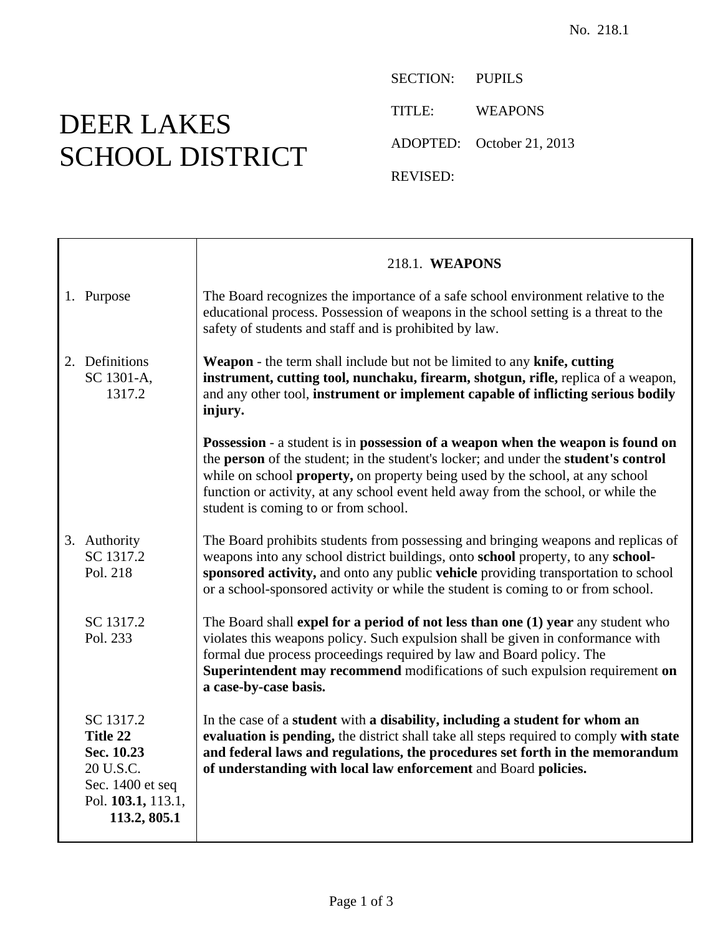## DEER LAKES SCHOOL DISTRICT

SECTION: PUPILS TITLE: WEAPONS ADOPTED: October 21, 2013 REVISED:

|                                                                                                            | 218.1. WEAPONS                                                                                                                                                                                                                                                                                                                                                                       |
|------------------------------------------------------------------------------------------------------------|--------------------------------------------------------------------------------------------------------------------------------------------------------------------------------------------------------------------------------------------------------------------------------------------------------------------------------------------------------------------------------------|
| 1. Purpose                                                                                                 | The Board recognizes the importance of a safe school environment relative to the<br>educational process. Possession of weapons in the school setting is a threat to the<br>safety of students and staff and is prohibited by law.                                                                                                                                                    |
| 2. Definitions<br>SC 1301-A,<br>1317.2                                                                     | Weapon - the term shall include but not be limited to any knife, cutting<br>instrument, cutting tool, nunchaku, firearm, shotgun, rifle, replica of a weapon,<br>and any other tool, instrument or implement capable of inflicting serious bodily<br>injury.                                                                                                                         |
|                                                                                                            | Possession - a student is in possession of a weapon when the weapon is found on<br>the person of the student; in the student's locker; and under the student's control<br>while on school property, on property being used by the school, at any school<br>function or activity, at any school event held away from the school, or while the<br>student is coming to or from school. |
| 3. Authority<br>SC 1317.2<br>Pol. 218                                                                      | The Board prohibits students from possessing and bringing weapons and replicas of<br>weapons into any school district buildings, onto school property, to any school-<br>sponsored activity, and onto any public vehicle providing transportation to school<br>or a school-sponsored activity or while the student is coming to or from school.                                      |
| SC 1317.2<br>Pol. 233                                                                                      | The Board shall expel for a period of not less than one (1) year any student who<br>violates this weapons policy. Such expulsion shall be given in conformance with<br>formal due process proceedings required by law and Board policy. The<br>Superintendent may recommend modifications of such expulsion requirement on<br>a case-by-case basis.                                  |
| SC 1317.2<br>Title 22<br>Sec. 10.23<br>20 U.S.C.<br>Sec. 1400 et seq<br>Pol. 103.1, 113.1,<br>113.2, 805.1 | In the case of a student with a disability, including a student for whom an<br>evaluation is pending, the district shall take all steps required to comply with state<br>and federal laws and regulations, the procedures set forth in the memorandum<br>of understanding with local law enforcement and Board policies.                                                             |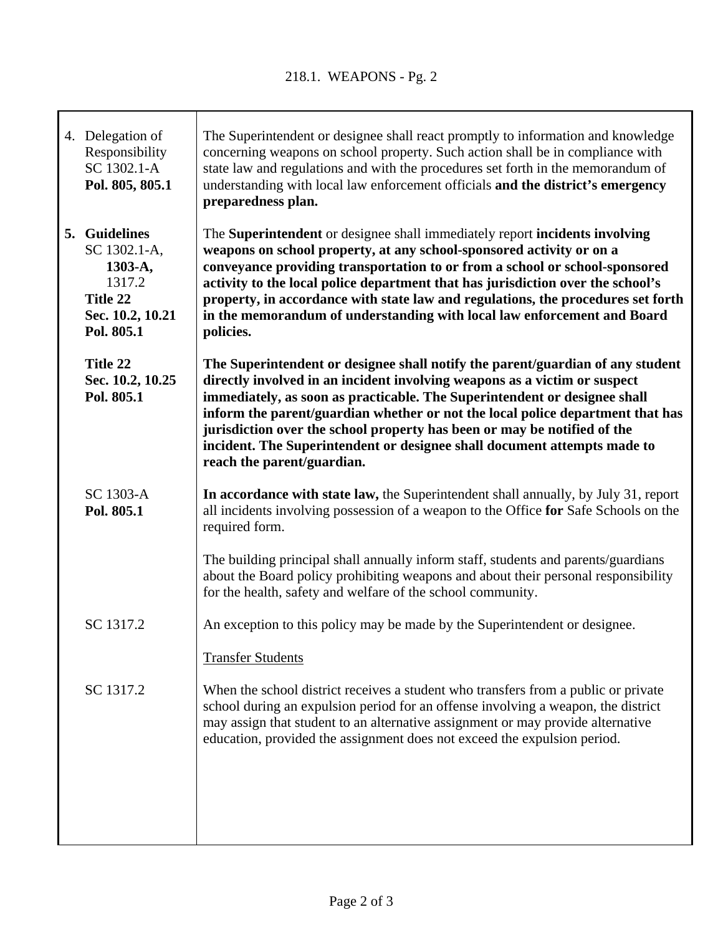| 4. Delegation of<br>Responsibility<br>SC 1302.1-A<br>Pol. 805, 805.1                             | The Superintendent or designee shall react promptly to information and knowledge<br>concerning weapons on school property. Such action shall be in compliance with<br>state law and regulations and with the procedures set forth in the memorandum of<br>understanding with local law enforcement officials and the district's emergency<br>preparedness plan.                                                                                                                                                  |
|--------------------------------------------------------------------------------------------------|------------------------------------------------------------------------------------------------------------------------------------------------------------------------------------------------------------------------------------------------------------------------------------------------------------------------------------------------------------------------------------------------------------------------------------------------------------------------------------------------------------------|
| 5. Guidelines<br>SC 1302.1-A,<br>1303-A,<br>1317.2<br>Title 22<br>Sec. 10.2, 10.21<br>Pol. 805.1 | The Superintendent or designee shall immediately report incidents involving<br>weapons on school property, at any school-sponsored activity or on a<br>conveyance providing transportation to or from a school or school-sponsored<br>activity to the local police department that has jurisdiction over the school's<br>property, in accordance with state law and regulations, the procedures set forth<br>in the memorandum of understanding with local law enforcement and Board<br>policies.                |
| Title 22<br>Sec. 10.2, 10.25<br>Pol. 805.1                                                       | The Superintendent or designee shall notify the parent/guardian of any student<br>directly involved in an incident involving weapons as a victim or suspect<br>immediately, as soon as practicable. The Superintendent or designee shall<br>inform the parent/guardian whether or not the local police department that has<br>jurisdiction over the school property has been or may be notified of the<br>incident. The Superintendent or designee shall document attempts made to<br>reach the parent/guardian. |
| SC 1303-A<br>Pol. 805.1                                                                          | In accordance with state law, the Superintendent shall annually, by July 31, report<br>all incidents involving possession of a weapon to the Office for Safe Schools on the<br>required form.                                                                                                                                                                                                                                                                                                                    |
|                                                                                                  | The building principal shall annually inform staff, students and parents/guardians<br>about the Board policy prohibiting weapons and about their personal responsibility<br>for the health, safety and welfare of the school community.                                                                                                                                                                                                                                                                          |
| SC 1317.2                                                                                        | An exception to this policy may be made by the Superintendent or designee.                                                                                                                                                                                                                                                                                                                                                                                                                                       |
|                                                                                                  | <b>Transfer Students</b>                                                                                                                                                                                                                                                                                                                                                                                                                                                                                         |
| SC 1317.2                                                                                        | When the school district receives a student who transfers from a public or private<br>school during an expulsion period for an offense involving a weapon, the district<br>may assign that student to an alternative assignment or may provide alternative<br>education, provided the assignment does not exceed the expulsion period.                                                                                                                                                                           |
|                                                                                                  |                                                                                                                                                                                                                                                                                                                                                                                                                                                                                                                  |